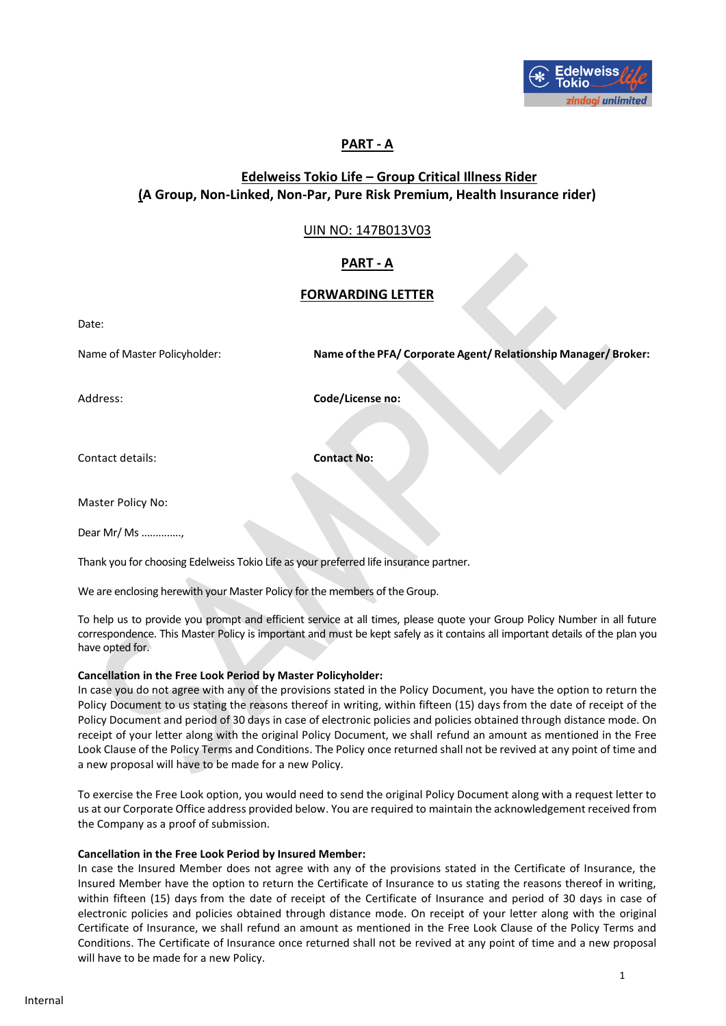

# **PART - A**

# **Edelweiss Tokio Life – Group Critical Illness Rider (A Group, Non-Linked, Non-Par, Pure Risk Premium, Health Insurance rider)**

# UIN NO: 147B013V03

# **PART - A**

# **FORWARDING LETTER**

Date:

Name of Master Policyholder: **Name of the PFA/ Corporate Agent/ Relationship Manager/ Broker:**

Address: **Code/License no:** 

Contact details: **Contact No:** 

Master Policy No:

Dear Mr/ Ms ..............,

Thank you for choosing Edelweiss Tokio Life as your preferred life insurance partner.

We are enclosing herewith your Master Policy for the members of the Group.

To help us to provide you prompt and efficient service at all times, please quote your Group Policy Number in all future correspondence. This Master Policy is important and must be kept safely as it contains all important details of the plan you have opted for.

### **Cancellation in the Free Look Period by Master Policyholder:**

In case you do not agree with any of the provisions stated in the Policy Document, you have the option to return the Policy Document to us stating the reasons thereof in writing, within fifteen (15) days from the date of receipt of the Policy Document and period of 30 days in case of electronic policies and policies obtained through distance mode. On receipt of your letter along with the original Policy Document, we shall refund an amount as mentioned in the Free Look Clause of the Policy Terms and Conditions. The Policy once returned shall not be revived at any point of time and a new proposal will have to be made for a new Policy.

To exercise the Free Look option, you would need to send the original Policy Document along with a request letter to us at our Corporate Office address provided below. You are required to maintain the acknowledgement received from the Company as a proof of submission.

#### **Cancellation in the Free Look Period by Insured Member:**

In case the Insured Member does not agree with any of the provisions stated in the Certificate of Insurance, the Insured Member have the option to return the Certificate of Insurance to us stating the reasons thereof in writing, within fifteen (15) days from the date of receipt of the Certificate of Insurance and period of 30 days in case of electronic policies and policies obtained through distance mode. On receipt of your letter along with the original Certificate of Insurance, we shall refund an amount as mentioned in the Free Look Clause of the Policy Terms and Conditions. The Certificate of Insurance once returned shall not be revived at any point of time and a new proposal will have to be made for a new Policy.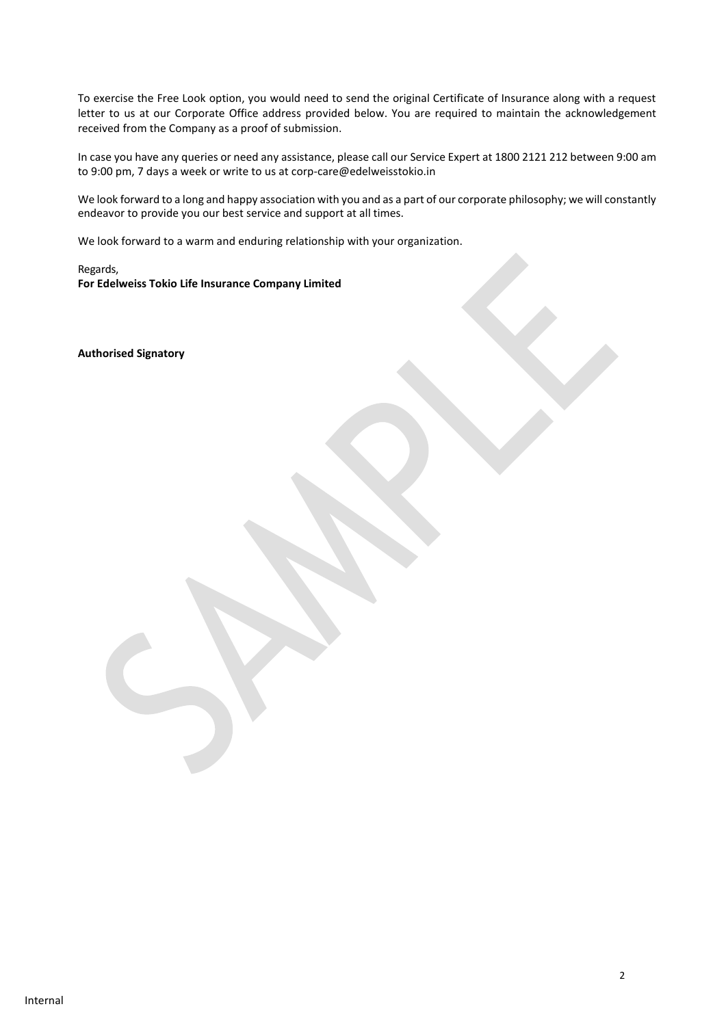To exercise the Free Look option, you would need to send the original Certificate of Insurance along with a request letter to us at our Corporate Office address provided below. You are required to maintain the acknowledgement received from the Company as a proof of submission.

In case you have any queries or need any assistance, please call our Service Expert at 1800 2121 212 between 9:00 am to 9:00 pm, 7 days a week or write to us at corp-care@edelweisstokio.in

We look forward to a long and happy association with you and as a part of our corporate philosophy; we will constantly endeavor to provide you our best service and support at all times.

We look forward to a warm and enduring relationship with your organization.

Regards, **For Edelweiss Tokio Life Insurance Company Limited**

**Authorised Signatory**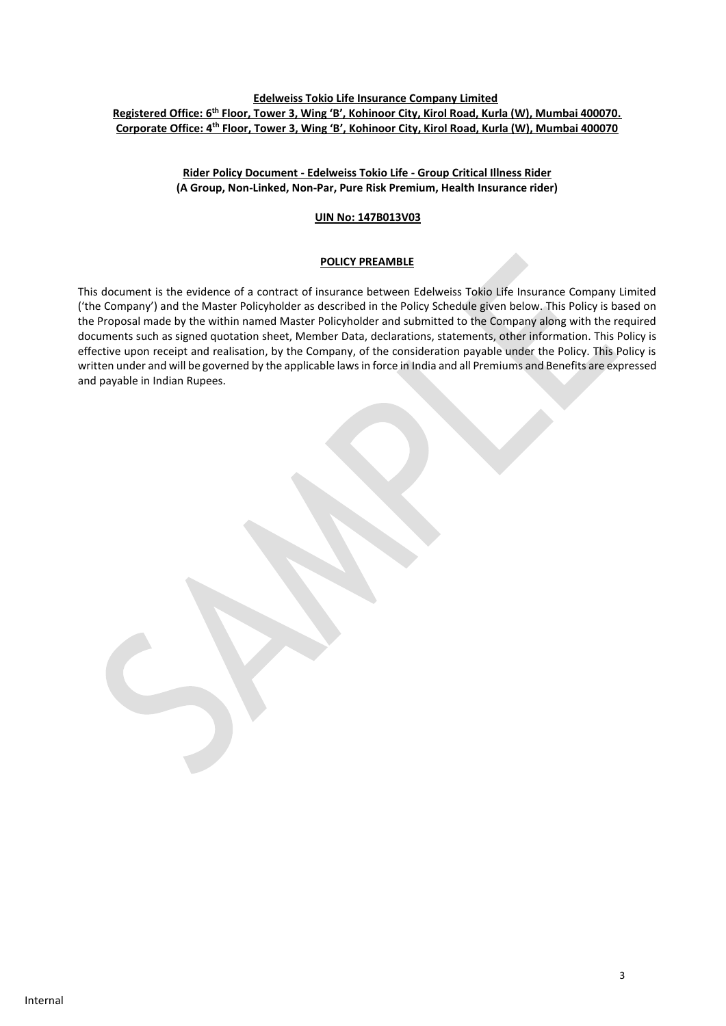### **Edelweiss Tokio Life Insurance Company Limited Registered Office: 6 th Floor, Tower 3, Wing 'B', Kohinoor City, Kirol Road, Kurla (W), Mumbai 400070. Corporate Office: 4th Floor, Tower 3, Wing 'B', Kohinoor City, Kirol Road, Kurla (W), Mumbai 400070**

### **Rider Policy Document - Edelweiss Tokio Life - Group Critical Illness Rider (A Group, Non-Linked, Non-Par, Pure Risk Premium, Health Insurance rider)**

 **UIN No: 147B013V03** 

### **POLICY PREAMBLE**

This document is the evidence of a contract of insurance between Edelweiss Tokio Life Insurance Company Limited ('the Company') and the Master Policyholder as described in the Policy Schedule given below. This Policy is based on the Proposal made by the within named Master Policyholder and submitted to the Company along with the required documents such as signed quotation sheet, Member Data, declarations, statements, other information. This Policy is effective upon receipt and realisation, by the Company, of the consideration payable under the Policy. This Policy is written under and will be governed by the applicable laws in force in India and all Premiums and Benefits are expressed and payable in Indian Rupees.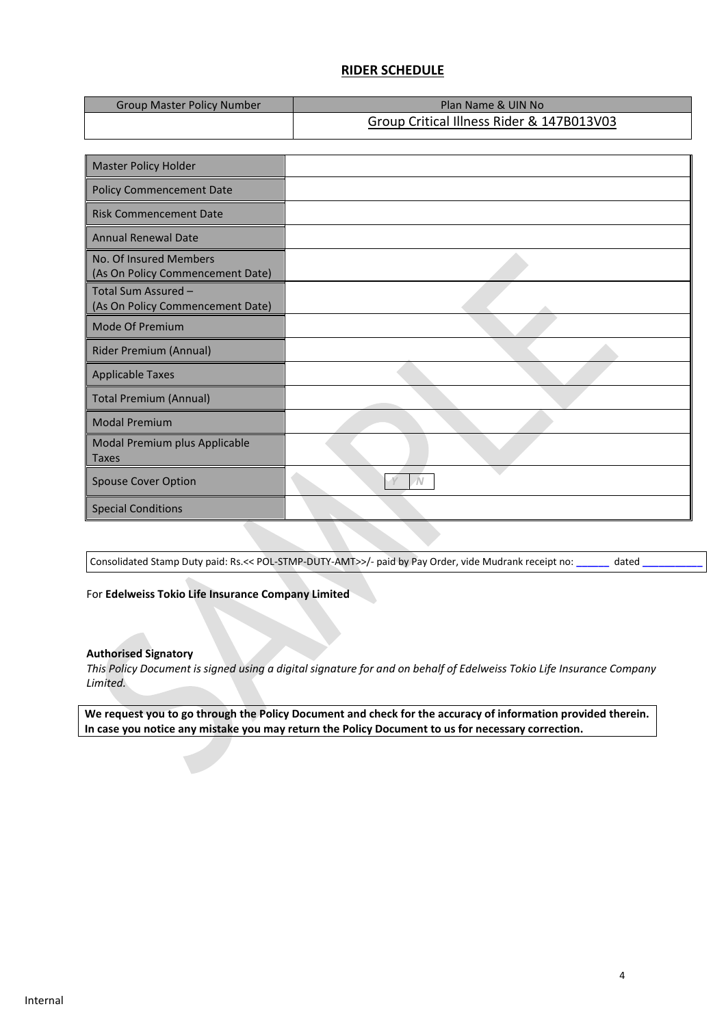# **RIDER SCHEDULE**

| <b>Group Master Policy Number</b> | Plan Name & UIN No                        |
|-----------------------------------|-------------------------------------------|
|                                   | Group Critical Illness Rider & 147B013V03 |

| <b>Master Policy Holder</b>                                |            |
|------------------------------------------------------------|------------|
| <b>Policy Commencement Date</b>                            |            |
| <b>Risk Commencement Date</b>                              |            |
| <b>Annual Renewal Date</b>                                 |            |
| No. Of Insured Members<br>(As On Policy Commencement Date) |            |
| Total Sum Assured -<br>(As On Policy Commencement Date)    |            |
| Mode Of Premium                                            |            |
| Rider Premium (Annual)                                     |            |
| <b>Applicable Taxes</b>                                    |            |
| <b>Total Premium (Annual)</b>                              |            |
| <b>Modal Premium</b>                                       |            |
| Modal Premium plus Applicable<br><b>Taxes</b>              |            |
| <b>Spouse Cover Option</b>                                 | $\sqrt{N}$ |
| <b>Special Conditions</b>                                  |            |

Consolidated Stamp Duty paid: Rs.<< POL-STMP-DUTY-AMT>>/- paid by Pay Order, vide Mudrank receipt no: **\_\_\_\_\_\_** dated **\_\_\_\_\_\_\_\_\_\_\_**

For **Edelweiss Tokio Life Insurance Company Limited** 

### **Authorised Signatory**

*This Policy Document is signed using a digital signature for and on behalf of Edelweiss Tokio Life Insurance Company Limited.* 

**We request you to go through the Policy Document and check for the accuracy of information provided therein. In case you notice any mistake you may return the Policy Document to us for necessary correction.**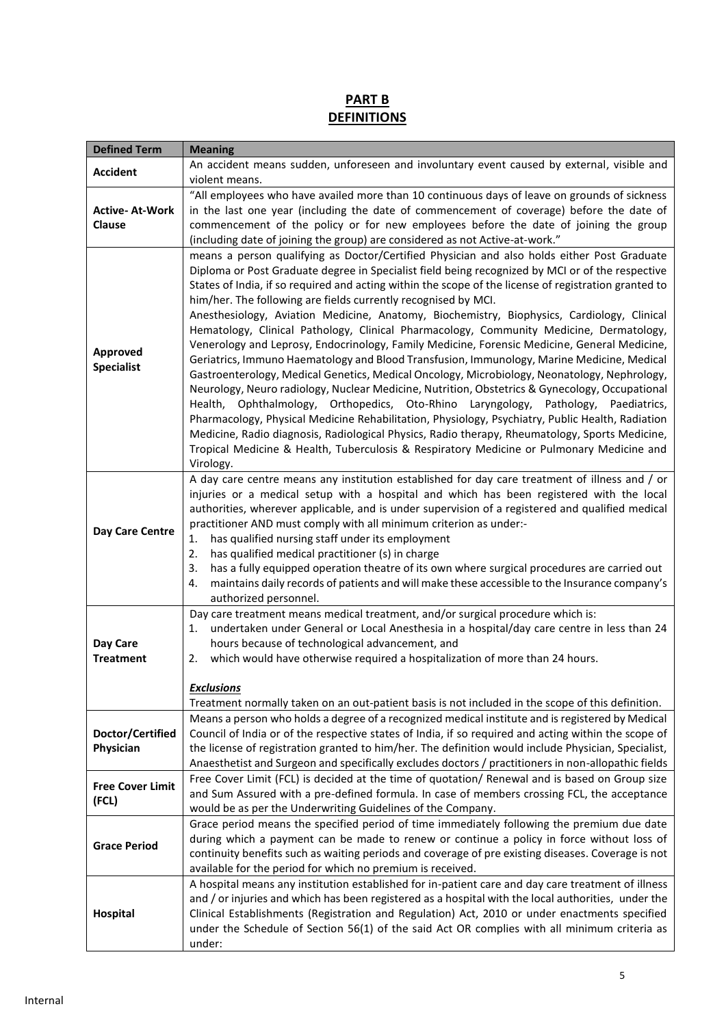# **PART B DEFINITIONS**

| <b>Defined Term</b>                  | <b>Meaning</b>                                                                                                                                                                                                                                                                                                                                                                                                                                                                                                                                                                                                                                                                                                                                                                                                                                                                                                                                                                                                                                                                                                                                                                                                                                                                                                                                                            |  |
|--------------------------------------|---------------------------------------------------------------------------------------------------------------------------------------------------------------------------------------------------------------------------------------------------------------------------------------------------------------------------------------------------------------------------------------------------------------------------------------------------------------------------------------------------------------------------------------------------------------------------------------------------------------------------------------------------------------------------------------------------------------------------------------------------------------------------------------------------------------------------------------------------------------------------------------------------------------------------------------------------------------------------------------------------------------------------------------------------------------------------------------------------------------------------------------------------------------------------------------------------------------------------------------------------------------------------------------------------------------------------------------------------------------------------|--|
| <b>Accident</b>                      | An accident means sudden, unforeseen and involuntary event caused by external, visible and<br>violent means.                                                                                                                                                                                                                                                                                                                                                                                                                                                                                                                                                                                                                                                                                                                                                                                                                                                                                                                                                                                                                                                                                                                                                                                                                                                              |  |
| <b>Active-At-Work</b><br>Clause      | "All employees who have availed more than 10 continuous days of leave on grounds of sickness<br>in the last one year (including the date of commencement of coverage) before the date of<br>commencement of the policy or for new employees before the date of joining the group<br>(including date of joining the group) are considered as not Active-at-work."                                                                                                                                                                                                                                                                                                                                                                                                                                                                                                                                                                                                                                                                                                                                                                                                                                                                                                                                                                                                          |  |
| <b>Approved</b><br><b>Specialist</b> | means a person qualifying as Doctor/Certified Physician and also holds either Post Graduate<br>Diploma or Post Graduate degree in Specialist field being recognized by MCI or of the respective<br>States of India, if so required and acting within the scope of the license of registration granted to<br>him/her. The following are fields currently recognised by MCI.<br>Anesthesiology, Aviation Medicine, Anatomy, Biochemistry, Biophysics, Cardiology, Clinical<br>Hematology, Clinical Pathology, Clinical Pharmacology, Community Medicine, Dermatology,<br>Venerology and Leprosy, Endocrinology, Family Medicine, Forensic Medicine, General Medicine,<br>Geriatrics, Immuno Haematology and Blood Transfusion, Immunology, Marine Medicine, Medical<br>Gastroenterology, Medical Genetics, Medical Oncology, Microbiology, Neonatology, Nephrology,<br>Neurology, Neuro radiology, Nuclear Medicine, Nutrition, Obstetrics & Gynecology, Occupational<br>Health, Ophthalmology, Orthopedics, Oto-Rhino Laryngology, Pathology, Paediatrics,<br>Pharmacology, Physical Medicine Rehabilitation, Physiology, Psychiatry, Public Health, Radiation<br>Medicine, Radio diagnosis, Radiological Physics, Radio therapy, Rheumatology, Sports Medicine,<br>Tropical Medicine & Health, Tuberculosis & Respiratory Medicine or Pulmonary Medicine and<br>Virology. |  |
| Day Care Centre                      | A day care centre means any institution established for day care treatment of illness and / or<br>injuries or a medical setup with a hospital and which has been registered with the local<br>authorities, wherever applicable, and is under supervision of a registered and qualified medical<br>practitioner AND must comply with all minimum criterion as under:-<br>has qualified nursing staff under its employment<br>1.<br>2.<br>has qualified medical practitioner (s) in charge<br>has a fully equipped operation theatre of its own where surgical procedures are carried out<br>3.<br>maintains daily records of patients and will make these accessible to the Insurance company's<br>4.<br>authorized personnel.                                                                                                                                                                                                                                                                                                                                                                                                                                                                                                                                                                                                                                             |  |
| Day Care<br><b>Treatment</b>         | Day care treatment means medical treatment, and/or surgical procedure which is:<br>undertaken under General or Local Anesthesia in a hospital/day care centre in less than 24<br>1.<br>hours because of technological advancement, and<br>which would have otherwise required a hospitalization of more than 24 hours.<br>2.<br><b>Exclusions</b><br>Treatment normally taken on an out-patient basis is not included in the scope of this definition.                                                                                                                                                                                                                                                                                                                                                                                                                                                                                                                                                                                                                                                                                                                                                                                                                                                                                                                    |  |
| Doctor/Certified<br>Physician        | Means a person who holds a degree of a recognized medical institute and is registered by Medical<br>Council of India or of the respective states of India, if so required and acting within the scope of<br>the license of registration granted to him/her. The definition would include Physician, Specialist,<br>Anaesthetist and Surgeon and specifically excludes doctors / practitioners in non-allopathic fields                                                                                                                                                                                                                                                                                                                                                                                                                                                                                                                                                                                                                                                                                                                                                                                                                                                                                                                                                    |  |
| <b>Free Cover Limit</b><br>(FCL)     | Free Cover Limit (FCL) is decided at the time of quotation/ Renewal and is based on Group size<br>and Sum Assured with a pre-defined formula. In case of members crossing FCL, the acceptance<br>would be as per the Underwriting Guidelines of the Company.                                                                                                                                                                                                                                                                                                                                                                                                                                                                                                                                                                                                                                                                                                                                                                                                                                                                                                                                                                                                                                                                                                              |  |
| <b>Grace Period</b>                  | Grace period means the specified period of time immediately following the premium due date<br>during which a payment can be made to renew or continue a policy in force without loss of<br>continuity benefits such as waiting periods and coverage of pre existing diseases. Coverage is not<br>available for the period for which no premium is received.                                                                                                                                                                                                                                                                                                                                                                                                                                                                                                                                                                                                                                                                                                                                                                                                                                                                                                                                                                                                               |  |
| Hospital                             | A hospital means any institution established for in-patient care and day care treatment of illness<br>and / or injuries and which has been registered as a hospital with the local authorities, under the<br>Clinical Establishments (Registration and Regulation) Act, 2010 or under enactments specified<br>under the Schedule of Section 56(1) of the said Act OR complies with all minimum criteria as<br>under:                                                                                                                                                                                                                                                                                                                                                                                                                                                                                                                                                                                                                                                                                                                                                                                                                                                                                                                                                      |  |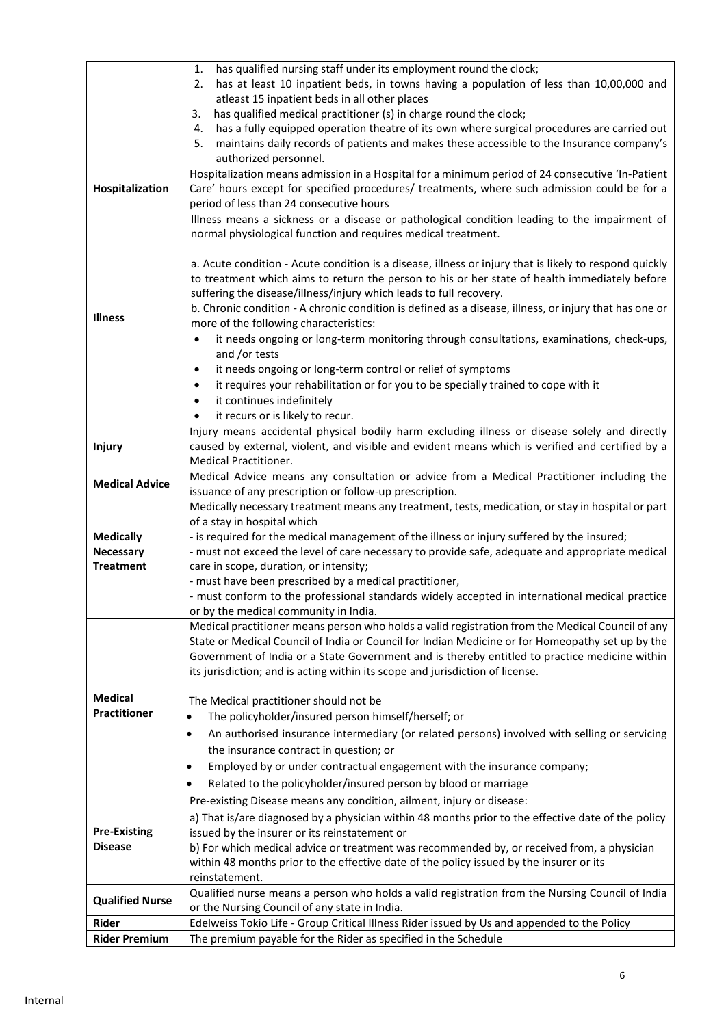|                                                            | has qualified nursing staff under its employment round the clock;<br>1.                                                                                                               |  |
|------------------------------------------------------------|---------------------------------------------------------------------------------------------------------------------------------------------------------------------------------------|--|
|                                                            | has at least 10 inpatient beds, in towns having a population of less than 10,00,000 and<br>2.                                                                                         |  |
|                                                            | atleast 15 inpatient beds in all other places                                                                                                                                         |  |
|                                                            | has qualified medical practitioner (s) in charge round the clock;<br>3.                                                                                                               |  |
|                                                            | has a fully equipped operation theatre of its own where surgical procedures are carried out<br>4.                                                                                     |  |
|                                                            | maintains daily records of patients and makes these accessible to the Insurance company's<br>5.<br>authorized personnel.                                                              |  |
|                                                            | Hospitalization means admission in a Hospital for a minimum period of 24 consecutive 'In-Patient                                                                                      |  |
|                                                            |                                                                                                                                                                                       |  |
| Hospitalization                                            | Care' hours except for specified procedures/ treatments, where such admission could be for a                                                                                          |  |
|                                                            | period of less than 24 consecutive hours<br>Illness means a sickness or a disease or pathological condition leading to the impairment of                                              |  |
|                                                            | normal physiological function and requires medical treatment.                                                                                                                         |  |
|                                                            |                                                                                                                                                                                       |  |
|                                                            | a. Acute condition - Acute condition is a disease, illness or injury that is likely to respond quickly                                                                                |  |
|                                                            | to treatment which aims to return the person to his or her state of health immediately before                                                                                         |  |
|                                                            | suffering the disease/illness/injury which leads to full recovery.                                                                                                                    |  |
|                                                            | b. Chronic condition - A chronic condition is defined as a disease, illness, or injury that has one or                                                                                |  |
| <b>Illness</b>                                             | more of the following characteristics:                                                                                                                                                |  |
|                                                            | it needs ongoing or long-term monitoring through consultations, examinations, check-ups,<br>٠                                                                                         |  |
|                                                            | and /or tests                                                                                                                                                                         |  |
|                                                            | it needs ongoing or long-term control or relief of symptoms<br>$\bullet$                                                                                                              |  |
|                                                            | it requires your rehabilitation or for you to be specially trained to cope with it<br>$\bullet$                                                                                       |  |
|                                                            | it continues indefinitely<br>$\bullet$                                                                                                                                                |  |
|                                                            | it recurs or is likely to recur.<br>٠                                                                                                                                                 |  |
|                                                            | Injury means accidental physical bodily harm excluding illness or disease solely and directly                                                                                         |  |
| <b>Injury</b>                                              | caused by external, violent, and visible and evident means which is verified and certified by a                                                                                       |  |
|                                                            | Medical Practitioner.                                                                                                                                                                 |  |
|                                                            | Medical Advice means any consultation or advice from a Medical Practitioner including the                                                                                             |  |
| <b>Medical Advice</b>                                      | issuance of any prescription or follow-up prescription.                                                                                                                               |  |
|                                                            | Medically necessary treatment means any treatment, tests, medication, or stay in hospital or part                                                                                     |  |
|                                                            | of a stay in hospital which                                                                                                                                                           |  |
| <b>Medically</b>                                           | - is required for the medical management of the illness or injury suffered by the insured;                                                                                            |  |
| <b>Necessary</b>                                           | - must not exceed the level of care necessary to provide safe, adequate and appropriate medical                                                                                       |  |
| care in scope, duration, or intensity;<br><b>Treatment</b> |                                                                                                                                                                                       |  |
|                                                            | - must have been prescribed by a medical practitioner,                                                                                                                                |  |
|                                                            | - must conform to the professional standards widely accepted in international medical practice                                                                                        |  |
|                                                            | or by the medical community in India.                                                                                                                                                 |  |
|                                                            | Medical practitioner means person who holds a valid registration from the Medical Council of any                                                                                      |  |
|                                                            | State or Medical Council of India or Council for Indian Medicine or for Homeopathy set up by the                                                                                      |  |
|                                                            | Government of India or a State Government and is thereby entitled to practice medicine within                                                                                         |  |
|                                                            | its jurisdiction; and is acting within its scope and jurisdiction of license.                                                                                                         |  |
|                                                            |                                                                                                                                                                                       |  |
| <b>Medical</b>                                             | The Medical practitioner should not be                                                                                                                                                |  |
| <b>Practitioner</b>                                        | The policyholder/insured person himself/herself; or<br>$\bullet$                                                                                                                      |  |
|                                                            | An authorised insurance intermediary (or related persons) involved with selling or servicing<br>٠                                                                                     |  |
|                                                            | the insurance contract in question; or                                                                                                                                                |  |
|                                                            | Employed by or under contractual engagement with the insurance company;<br>٠                                                                                                          |  |
|                                                            | Related to the policyholder/insured person by blood or marriage<br>٠                                                                                                                  |  |
|                                                            | Pre-existing Disease means any condition, ailment, injury or disease:                                                                                                                 |  |
|                                                            | a) That is/are diagnosed by a physician within 48 months prior to the effective date of the policy                                                                                    |  |
| <b>Pre-Existing</b>                                        | issued by the insurer or its reinstatement or                                                                                                                                         |  |
| <b>Disease</b>                                             | b) For which medical advice or treatment was recommended by, or received from, a physician<br>within 48 months prior to the effective date of the policy issued by the insurer or its |  |
|                                                            |                                                                                                                                                                                       |  |
|                                                            | reinstatement.                                                                                                                                                                        |  |
|                                                            | Qualified nurse means a person who holds a valid registration from the Nursing Council of India                                                                                       |  |
| <b>Qualified Nurse</b>                                     | or the Nursing Council of any state in India.                                                                                                                                         |  |
| Rider                                                      | Edelweiss Tokio Life - Group Critical Illness Rider issued by Us and appended to the Policy                                                                                           |  |
| <b>Rider Premium</b>                                       | The premium payable for the Rider as specified in the Schedule                                                                                                                        |  |
|                                                            |                                                                                                                                                                                       |  |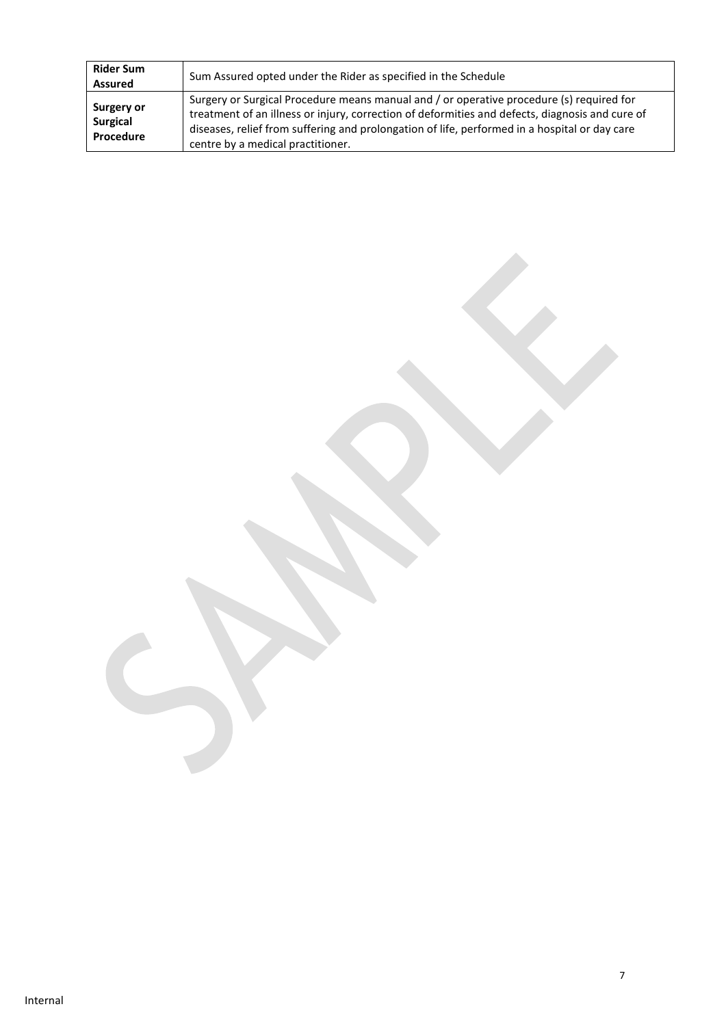| <b>Rider Sum</b><br><b>Assured</b>                | Sum Assured opted under the Rider as specified in the Schedule                                                                                                                                                                                                                                                                    |
|---------------------------------------------------|-----------------------------------------------------------------------------------------------------------------------------------------------------------------------------------------------------------------------------------------------------------------------------------------------------------------------------------|
| <b>Surgery or</b><br><b>Surgical</b><br>Procedure | Surgery or Surgical Procedure means manual and / or operative procedure (s) required for<br>treatment of an illness or injury, correction of deformities and defects, diagnosis and cure of<br>diseases, relief from suffering and prolongation of life, performed in a hospital or day care<br>centre by a medical practitioner. |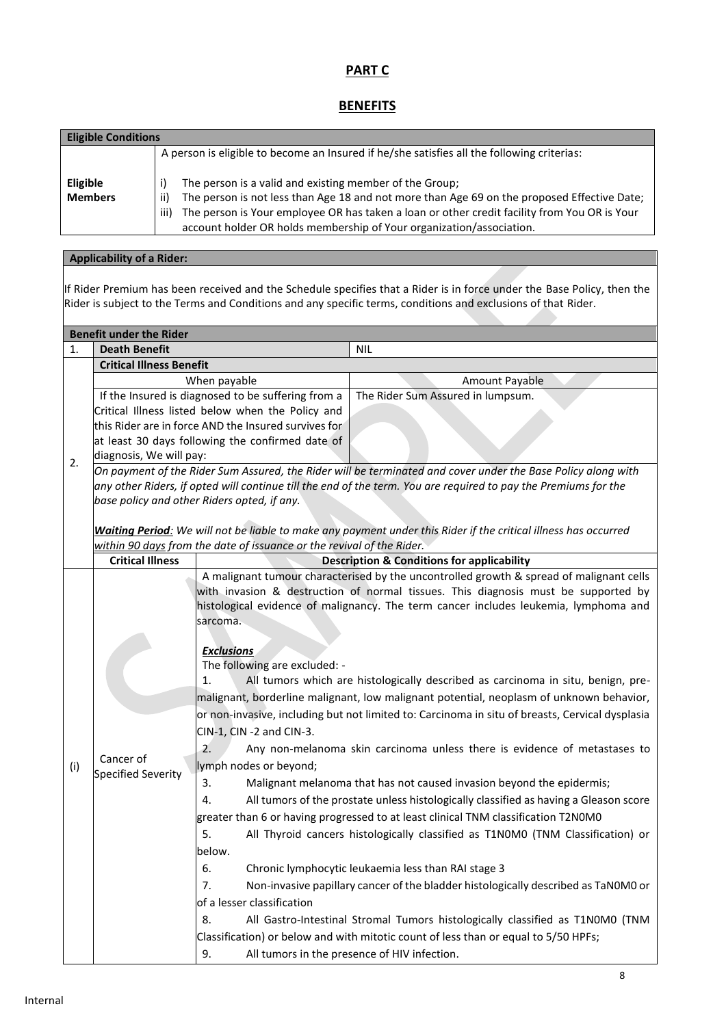# **PART C**

# **BENEFITS**

| <b>Eligible Conditions</b>        |                                                                                                                                                                                                                                                                                                                                                |  |  |
|-----------------------------------|------------------------------------------------------------------------------------------------------------------------------------------------------------------------------------------------------------------------------------------------------------------------------------------------------------------------------------------------|--|--|
|                                   | A person is eligible to become an Insured if he/she satisfies all the following criterias:                                                                                                                                                                                                                                                     |  |  |
| <b>Eligible</b><br><b>Members</b> | The person is a valid and existing member of the Group;<br>The person is not less than Age 18 and not more than Age 69 on the proposed Effective Date;<br>-ii)<br>The person is Your employee OR has taken a loan or other credit facility from You OR is Your<br>iii)<br>account holder OR holds membership of Your organization/association. |  |  |

# **Applicability of a Rider:**

If Rider Premium has been received and the Schedule specifies that a Rider is in force under the Base Policy, then the Rider is subject to the Terms and Conditions and any specific terms, conditions and exclusions of that Rider.

|     | <b>Benefit under the Rider</b>                       |                                                                                      |                                                                                                                 |  |
|-----|------------------------------------------------------|--------------------------------------------------------------------------------------|-----------------------------------------------------------------------------------------------------------------|--|
| 1.  | <b>Death Benefit</b>                                 |                                                                                      | <b>NIL</b>                                                                                                      |  |
|     | <b>Critical Illness Benefit</b>                      |                                                                                      |                                                                                                                 |  |
|     | When payable                                         |                                                                                      | Amount Payable                                                                                                  |  |
|     | If the Insured is diagnosed to be suffering from a   |                                                                                      | The Rider Sum Assured in lumpsum.                                                                               |  |
|     | Critical Illness listed below when the Policy and    |                                                                                      |                                                                                                                 |  |
|     | this Rider are in force AND the Insured survives for |                                                                                      |                                                                                                                 |  |
|     | at least 30 days following the confirmed date of     |                                                                                      |                                                                                                                 |  |
| 2.  | diagnosis, We will pay:                              |                                                                                      |                                                                                                                 |  |
|     |                                                      |                                                                                      | On payment of the Rider Sum Assured, the Rider will be terminated and cover under the Base Policy along with    |  |
|     |                                                      |                                                                                      | any other Riders, if opted will continue till the end of the term. You are required to pay the Premiums for the |  |
|     |                                                      | base policy and other Riders opted, if any.                                          |                                                                                                                 |  |
|     |                                                      |                                                                                      | Waiting Period: We will not be liable to make any payment under this Rider if the critical illness has occurred |  |
|     |                                                      | within 90 days from the date of issuance or the revival of the Rider.                |                                                                                                                 |  |
|     | <b>Critical Illness</b>                              |                                                                                      | <b>Description &amp; Conditions for applicability</b>                                                           |  |
|     |                                                      |                                                                                      | A malignant tumour characterised by the uncontrolled growth & spread of malignant cells                         |  |
|     |                                                      | with invasion & destruction of normal tissues. This diagnosis must be supported by   |                                                                                                                 |  |
|     |                                                      | histological evidence of malignancy. The term cancer includes leukemia, lymphoma and |                                                                                                                 |  |
|     |                                                      | sarcoma.                                                                             |                                                                                                                 |  |
|     |                                                      |                                                                                      |                                                                                                                 |  |
|     |                                                      | <b>Exclusions</b>                                                                    |                                                                                                                 |  |
|     |                                                      | The following are excluded: -                                                        |                                                                                                                 |  |
|     |                                                      | 1.                                                                                   | All tumors which are histologically described as carcinoma in situ, benign, pre-                                |  |
|     |                                                      |                                                                                      | malignant, borderline malignant, low malignant potential, neoplasm of unknown behavior,                         |  |
|     |                                                      |                                                                                      | or non-invasive, including but not limited to: Carcinoma in situ of breasts, Cervical dysplasia                 |  |
|     |                                                      | CIN-1, CIN -2 and CIN-3.                                                             |                                                                                                                 |  |
|     |                                                      | 2.                                                                                   | Any non-melanoma skin carcinoma unless there is evidence of metastases to                                       |  |
| (i) | Cancer of                                            | lymph nodes or beyond;                                                               |                                                                                                                 |  |
|     | Specified Severity                                   | 3.                                                                                   | Malignant melanoma that has not caused invasion beyond the epidermis;                                           |  |
|     |                                                      | 4.                                                                                   | All tumors of the prostate unless histologically classified as having a Gleason score                           |  |
|     |                                                      | greater than 6 or having progressed to at least clinical TNM classification T2N0M0   |                                                                                                                 |  |
|     |                                                      | 5.                                                                                   | All Thyroid cancers histologically classified as T1N0M0 (TNM Classification) or                                 |  |
|     |                                                      | below.                                                                               |                                                                                                                 |  |
|     |                                                      | 6.                                                                                   | Chronic lymphocytic leukaemia less than RAI stage 3                                                             |  |
|     |                                                      | 7.                                                                                   | Non-invasive papillary cancer of the bladder histologically described as TaNOMO or                              |  |
|     |                                                      | of a lesser classification                                                           |                                                                                                                 |  |
|     |                                                      |                                                                                      |                                                                                                                 |  |
|     |                                                      | 8.                                                                                   | All Gastro-Intestinal Stromal Tumors histologically classified as T1N0M0 (TNM                                   |  |
|     |                                                      |                                                                                      | Classification) or below and with mitotic count of less than or equal to 5/50 HPFs;                             |  |
|     |                                                      | 9.                                                                                   | All tumors in the presence of HIV infection.                                                                    |  |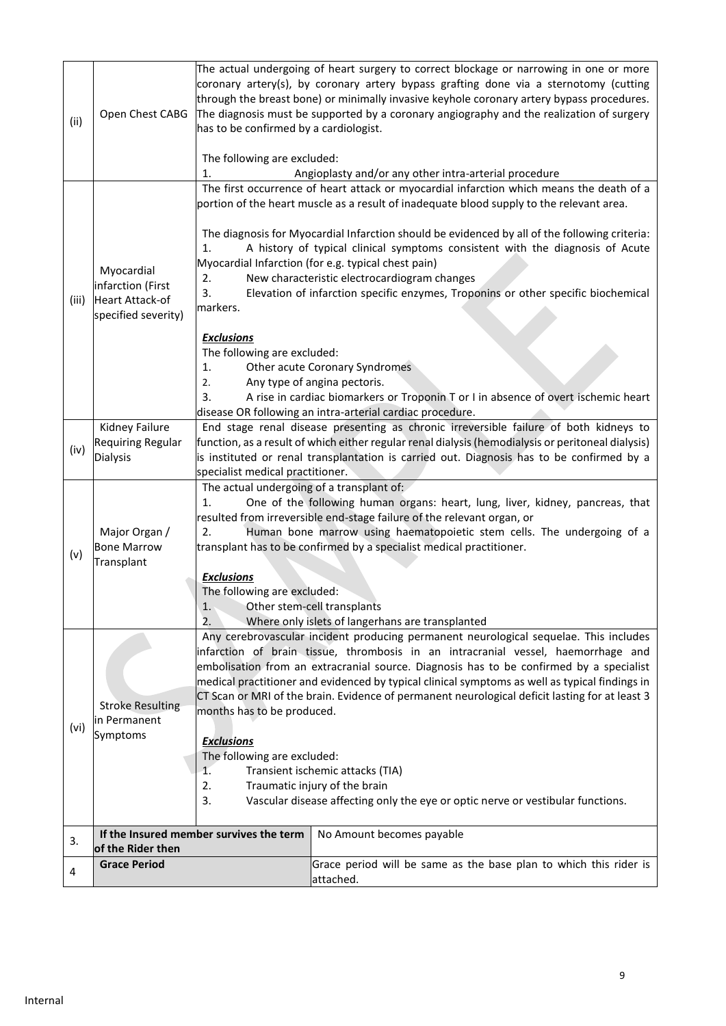|       |                                                                                   |                                                                                                                                                 | The actual undergoing of heart surgery to correct blockage or narrowing in one or more<br>coronary artery(s), by coronary artery bypass grafting done via a sternotomy (cutting<br>through the breast bone) or minimally invasive keyhole coronary artery bypass procedures. |  |
|-------|-----------------------------------------------------------------------------------|-------------------------------------------------------------------------------------------------------------------------------------------------|------------------------------------------------------------------------------------------------------------------------------------------------------------------------------------------------------------------------------------------------------------------------------|--|
| (ii)  | Open Chest CABG                                                                   | has to be confirmed by a cardiologist.                                                                                                          | The diagnosis must be supported by a coronary angiography and the realization of surgery                                                                                                                                                                                     |  |
|       |                                                                                   | The following are excluded:<br>1.                                                                                                               | Angioplasty and/or any other intra-arterial procedure                                                                                                                                                                                                                        |  |
|       |                                                                                   |                                                                                                                                                 | The first occurrence of heart attack or myocardial infarction which means the death of a                                                                                                                                                                                     |  |
|       |                                                                                   |                                                                                                                                                 | portion of the heart muscle as a result of inadequate blood supply to the relevant area.                                                                                                                                                                                     |  |
|       |                                                                                   | 1.                                                                                                                                              | The diagnosis for Myocardial Infarction should be evidenced by all of the following criteria:<br>A history of typical clinical symptoms consistent with the diagnosis of Acute                                                                                               |  |
|       | Myocardial                                                                        |                                                                                                                                                 | Myocardial Infarction (for e.g. typical chest pain)                                                                                                                                                                                                                          |  |
|       | infarction (First                                                                 | 2.<br>3.                                                                                                                                        | New characteristic electrocardiogram changes                                                                                                                                                                                                                                 |  |
| (iii) | <b>Heart Attack-of</b>                                                            | markers.                                                                                                                                        | Elevation of infarction specific enzymes, Troponins or other specific biochemical                                                                                                                                                                                            |  |
|       | specified severity)                                                               |                                                                                                                                                 |                                                                                                                                                                                                                                                                              |  |
|       |                                                                                   | <b>Exclusions</b>                                                                                                                               |                                                                                                                                                                                                                                                                              |  |
|       |                                                                                   | The following are excluded:                                                                                                                     |                                                                                                                                                                                                                                                                              |  |
|       |                                                                                   | 1.                                                                                                                                              | Other acute Coronary Syndromes                                                                                                                                                                                                                                               |  |
|       |                                                                                   | 2.                                                                                                                                              | Any type of angina pectoris.                                                                                                                                                                                                                                                 |  |
|       |                                                                                   | 3.                                                                                                                                              | A rise in cardiac biomarkers or Troponin T or I in absence of overt ischemic heart<br>disease OR following an intra-arterial cardiac procedure.                                                                                                                              |  |
|       | Kidney Failure                                                                    |                                                                                                                                                 | End stage renal disease presenting as chronic irreversible failure of both kidneys to                                                                                                                                                                                        |  |
|       | <b>Requiring Regular</b>                                                          |                                                                                                                                                 | function, as a result of which either regular renal dialysis (hemodialysis or peritoneal dialysis)                                                                                                                                                                           |  |
| (iv)  | <b>Dialysis</b>                                                                   |                                                                                                                                                 | is instituted or renal transplantation is carried out. Diagnosis has to be confirmed by a                                                                                                                                                                                    |  |
|       |                                                                                   | specialist medical practitioner.                                                                                                                |                                                                                                                                                                                                                                                                              |  |
|       |                                                                                   | The actual undergoing of a transplant of:                                                                                                       |                                                                                                                                                                                                                                                                              |  |
|       |                                                                                   | 1.                                                                                                                                              | One of the following human organs: heart, lung, liver, kidney, pancreas, that<br>resulted from irreversible end-stage failure of the relevant organ, or                                                                                                                      |  |
|       | Major Organ /                                                                     | 2.                                                                                                                                              | Human bone marrow using haematopoietic stem cells. The undergoing of a                                                                                                                                                                                                       |  |
|       | <b>Bone Marrow</b>                                                                |                                                                                                                                                 | transplant has to be confirmed by a specialist medical practitioner.                                                                                                                                                                                                         |  |
| (v)   | Transplant                                                                        |                                                                                                                                                 |                                                                                                                                                                                                                                                                              |  |
|       |                                                                                   | <b>Exclusions</b>                                                                                                                               |                                                                                                                                                                                                                                                                              |  |
|       |                                                                                   | The following are excluded:                                                                                                                     |                                                                                                                                                                                                                                                                              |  |
|       |                                                                                   | Other stem-cell transplants<br>1.                                                                                                               |                                                                                                                                                                                                                                                                              |  |
|       |                                                                                   | 2.<br>Where only islets of langerhans are transplanted<br>Any cerebrovascular incident producing permanent neurological sequelae. This includes |                                                                                                                                                                                                                                                                              |  |
|       | infarction of brain tissue, thrombosis in an intracranial vessel, haemorrhage and |                                                                                                                                                 |                                                                                                                                                                                                                                                                              |  |
|       |                                                                                   | embolisation from an extracranial source. Diagnosis has to be confirmed by a specialist                                                         |                                                                                                                                                                                                                                                                              |  |
|       |                                                                                   |                                                                                                                                                 | medical practitioner and evidenced by typical clinical symptoms as well as typical findings in                                                                                                                                                                               |  |
|       | <b>Stroke Resulting</b>                                                           | CT Scan or MRI of the brain. Evidence of permanent neurological deficit lasting for at least 3<br>months has to be produced.                    |                                                                                                                                                                                                                                                                              |  |
|       | in Permanent                                                                      |                                                                                                                                                 |                                                                                                                                                                                                                                                                              |  |
| (vi)  | Symptoms                                                                          | <b>Exclusions</b>                                                                                                                               |                                                                                                                                                                                                                                                                              |  |
|       |                                                                                   | The following are excluded:                                                                                                                     |                                                                                                                                                                                                                                                                              |  |
|       |                                                                                   | Transient ischemic attacks (TIA)<br>1.<br>Traumatic injury of the brain<br>2.                                                                   |                                                                                                                                                                                                                                                                              |  |
|       |                                                                                   |                                                                                                                                                 |                                                                                                                                                                                                                                                                              |  |
|       | 3.                                                                                |                                                                                                                                                 | Vascular disease affecting only the eye or optic nerve or vestibular functions.                                                                                                                                                                                              |  |
|       |                                                                                   | If the Insured member survives the term                                                                                                         | No Amount becomes payable                                                                                                                                                                                                                                                    |  |
| 3.    | of the Rider then                                                                 |                                                                                                                                                 |                                                                                                                                                                                                                                                                              |  |
|       | <b>Grace Period</b>                                                               |                                                                                                                                                 | Grace period will be same as the base plan to which this rider is                                                                                                                                                                                                            |  |
| 4     |                                                                                   |                                                                                                                                                 | attached.                                                                                                                                                                                                                                                                    |  |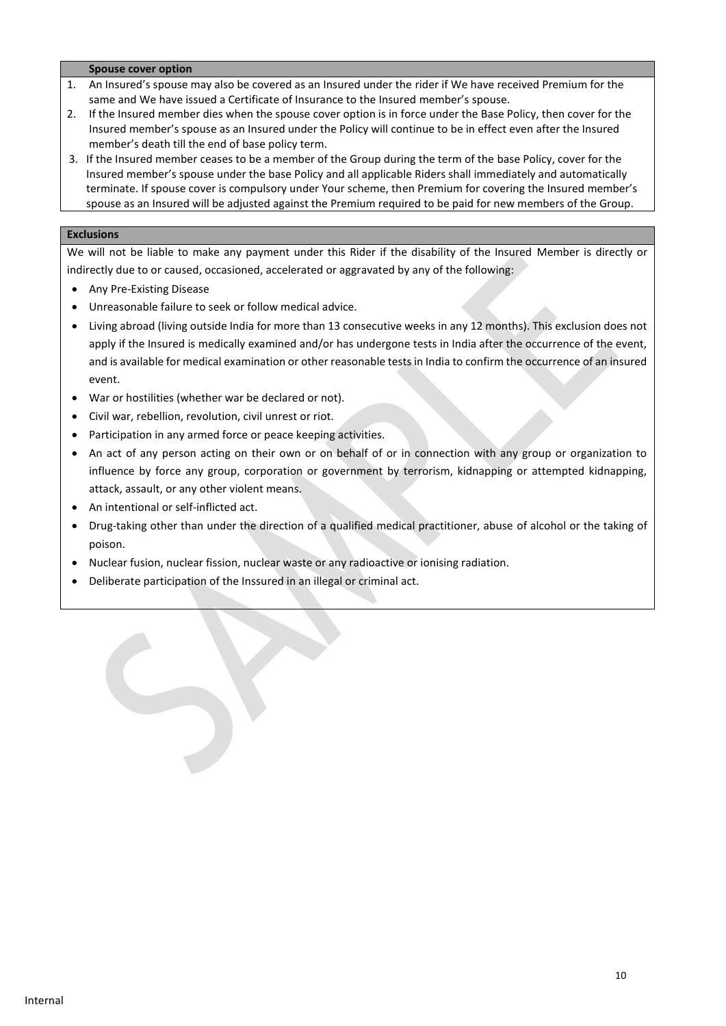#### **Spouse cover option**

- 1. An Insured's spouse may also be covered as an Insured under the rider if We have received Premium for the same and We have issued a Certificate of Insurance to the Insured member's spouse.
- 2. If the Insured member dies when the spouse cover option is in force under the Base Policy, then cover for the Insured member's spouse as an Insured under the Policy will continue to be in effect even after the Insured member's death till the end of base policy term.
- 3. If the Insured member ceases to be a member of the Group during the term of the base Policy, cover for the Insured member's spouse under the base Policy and all applicable Riders shall immediately and automatically terminate. If spouse cover is compulsory under Your scheme, then Premium for covering the Insured member's spouse as an Insured will be adjusted against the Premium required to be paid for new members of the Group.

### **Exclusions**

We will not be liable to make any payment under this Rider if the disability of the Insured Member is directly or indirectly due to or caused, occasioned, accelerated or aggravated by any of the following:

- Any Pre-Existing Disease
- Unreasonable failure to seek or follow medical advice.
- Living abroad (living outside India for more than 13 consecutive weeks in any 12 months). This exclusion does not apply if the Insured is medically examined and/or has undergone tests in India after the occurrence of the event, and is available for medical examination or other reasonable tests in India to confirm the occurrence of an insured event.
- War or hostilities (whether war be declared or not).
- Civil war, rebellion, revolution, civil unrest or riot.
- Participation in any armed force or peace keeping activities.
- An act of any person acting on their own or on behalf of or in connection with any group or organization to influence by force any group, corporation or government by terrorism, kidnapping or attempted kidnapping, attack, assault, or any other violent means.
- An intentional or self-inflicted act.
- Drug-taking other than under the direction of a qualified medical practitioner, abuse of alcohol or the taking of poison.
- Nuclear fusion, nuclear fission, nuclear waste or any radioactive or ionising radiation.
- Deliberate participation of the Inssured in an illegal or criminal act.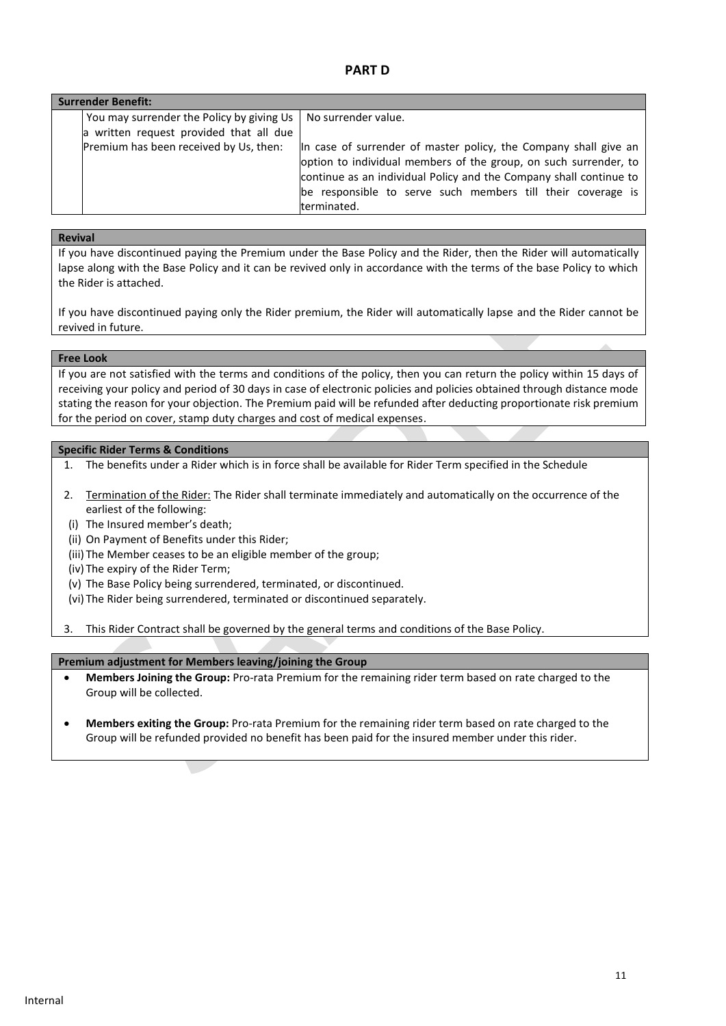### **PART D**

| <b>Surrender Benefit:</b> |                                           |                                                                    |  |
|---------------------------|-------------------------------------------|--------------------------------------------------------------------|--|
|                           | You may surrender the Policy by giving Us | No surrender value.                                                |  |
|                           | a written request provided that all due   |                                                                    |  |
|                           | Premium has been received by Us, then:    | In case of surrender of master policy, the Company shall give an   |  |
|                           |                                           | option to individual members of the group, on such surrender, to   |  |
|                           |                                           | continue as an individual Policy and the Company shall continue to |  |
|                           |                                           | be responsible to serve such members till their coverage is        |  |
|                           |                                           | terminated.                                                        |  |

# **Revival**

If you have discontinued paying the Premium under the Base Policy and the Rider, then the Rider will automatically lapse along with the Base Policy and it can be revived only in accordance with the terms of the base Policy to which the Rider is attached.

If you have discontinued paying only the Rider premium, the Rider will automatically lapse and the Rider cannot be revived in future.

#### **Free Look**

If you are not satisfied with the terms and conditions of the policy, then you can return the policy within 15 days of receiving your policy and period of 30 days in case of electronic policies and policies obtained through distance mode stating the reason for your objection. The Premium paid will be refunded after deducting proportionate risk premium for the period on cover, stamp duty charges and cost of medical expenses.

### **Specific Rider Terms & Conditions**

- 1. The benefits under a Rider which is in force shall be available for Rider Term specified in the Schedule
- 2. Termination of the Rider: The Rider shall terminate immediately and automatically on the occurrence of the earliest of the following:
- (i) The Insured member's death;
- (ii) On Payment of Benefits under this Rider;
- (iii) The Member ceases to be an eligible member of the group;
- (iv) The expiry of the Rider Term;
- (v) The Base Policy being surrendered, terminated, or discontinued.
- (vi) The Rider being surrendered, terminated or discontinued separately.

3. This Rider Contract shall be governed by the general terms and conditions of the Base Policy.

### **Premium adjustment for Members leaving/joining the Group**

- **Members Joining the Group:** Pro-rata Premium for the remaining rider term based on rate charged to the Group will be collected.
- **Members exiting the Group:** Pro-rata Premium for the remaining rider term based on rate charged to the Group will be refunded provided no benefit has been paid for the insured member under this rider.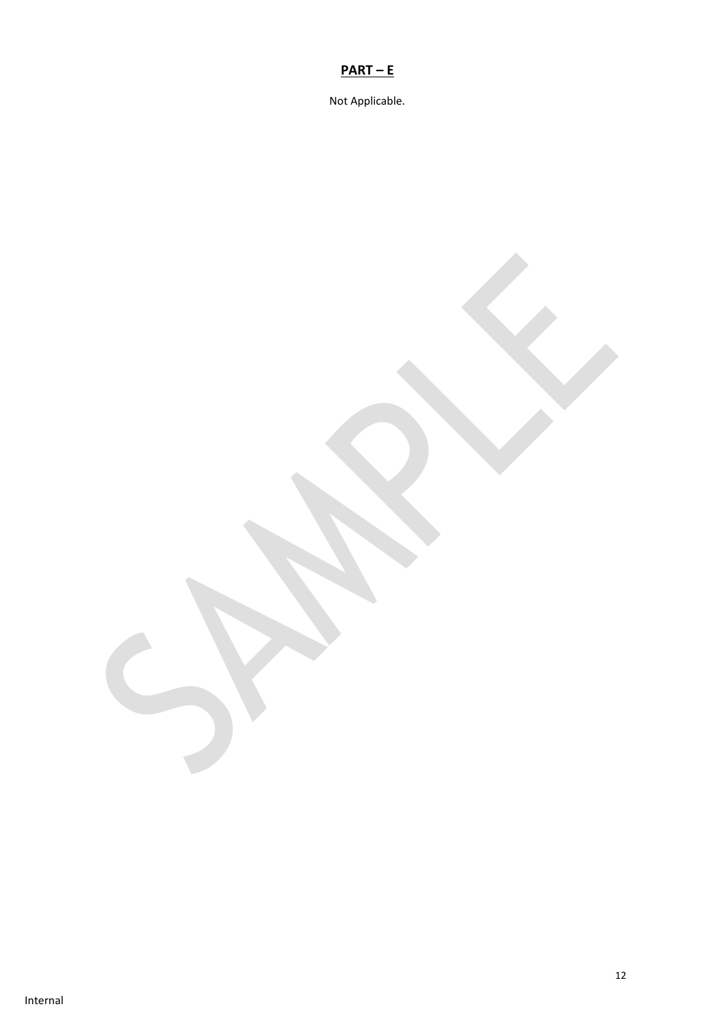# **PART – E**

Not Applicable.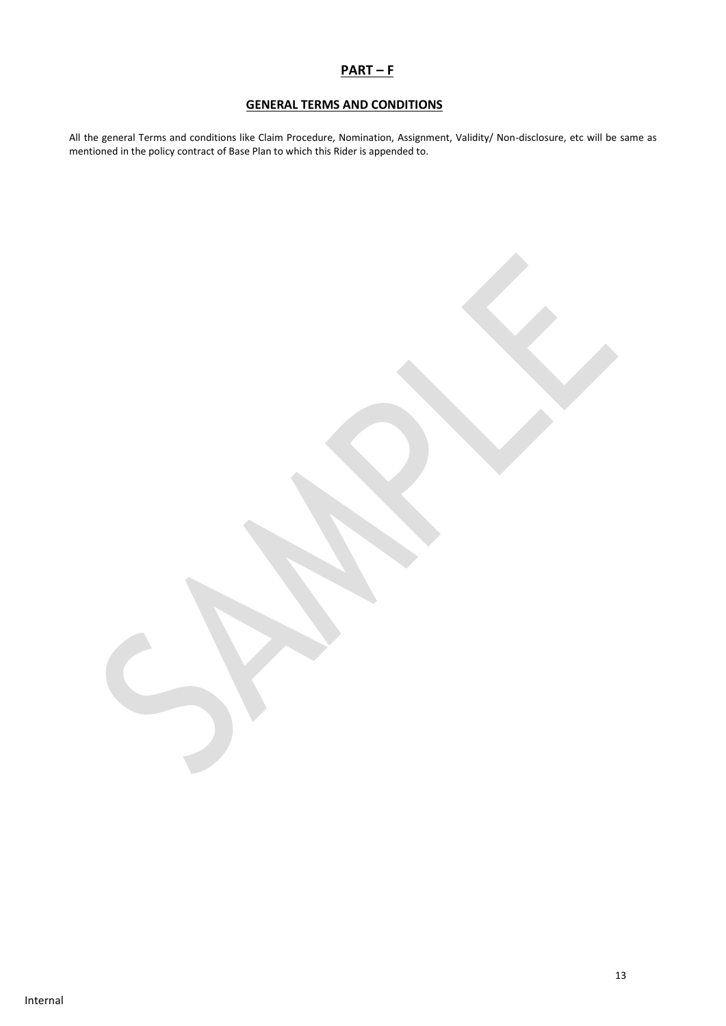# **PART – F**

# **GENERAL TERMS AND CONDITIONS**

All the general Terms and conditions like Claim Procedure, Nomination, Assignment, Validity/ Non-disclosure, etc will be same as mentioned in the policy contract of Base Plan to which this Rider is appended to.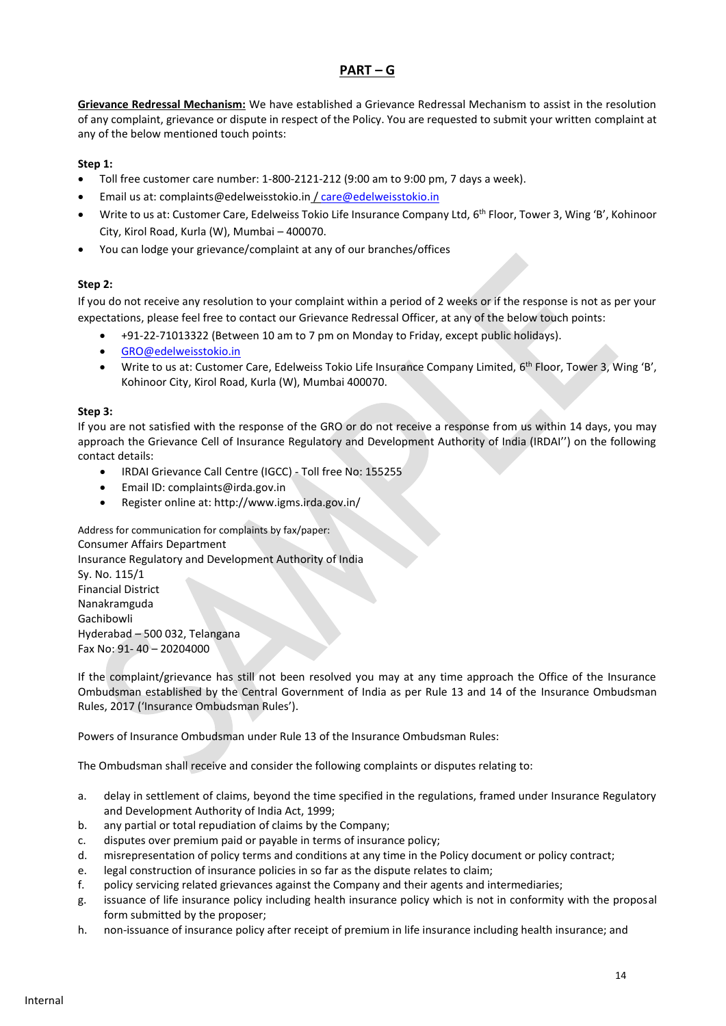# **PART – G**

**Grievance Redressal Mechanism:** We have established a Grievance Redressal Mechanism to assist in the resolution of any complaint, grievance or dispute in respect of the Policy. You are requested to submit your written complaint at any of the below mentioned touch points:

### **Step 1:**

- Toll free customer care number: 1-800-2121-212 (9:00 am to 9:00 pm, 7 days a week).
- Email us at: complaints@edelweisstokio.in [/ care@edelweisstokio.in](mailto:care@edelweisstokio.in)
- Write to us at: Customer Care, Edelweiss Tokio Life Insurance Company Ltd, 6<sup>th</sup> Floor, Tower 3, Wing 'B', Kohinoor City, Kirol Road, Kurla (W), Mumbai – 400070.
- You can lodge your grievance/complaint at any of our branches/offices

### **Step 2:**

If you do not receive any resolution to your complaint within a period of 2 weeks or if the response is not as per your expectations, please feel free to contact our Grievance Redressal Officer, at any of the below touch points:

- +91-22-71013322 (Between 10 am to 7 pm on Monday to Friday, except public holidays).
- [GRO@edelweisstokio.in](mailto:GRO@edelweisstokio.in)
- Write to us at: Customer Care, Edelweiss Tokio Life Insurance Company Limited, 6<sup>th</sup> Floor, Tower 3, Wing 'B', Kohinoor City, Kirol Road, Kurla (W), Mumbai 400070.

### **Step 3:**

If you are not satisfied with the response of the GRO or do not receive a response from us within 14 days, you may approach the Grievance Cell of Insurance Regulatory and Development Authority of India (IRDAI'') on the following contact details:

- IRDAI Grievance Call Centre (IGCC) Toll free No: 155255
- Email ID: complaints@irda.gov.in
- Register online at: http://www.igms.irda.gov.in/

Address for communication for complaints by fax/paper: Consumer Affairs Department Insurance Regulatory and Development Authority of India Sy. No. 115/1 Financial District Nanakramguda Gachibowli Hyderabad – 500 032, Telangana Fax No: 91- 40 – 20204000

If the complaint/grievance has still not been resolved you may at any time approach the Office of the Insurance Ombudsman established by the Central Government of India as per Rule 13 and 14 of the Insurance Ombudsman Rules, 2017 ('Insurance Ombudsman Rules').

Powers of Insurance Ombudsman under Rule 13 of the Insurance Ombudsman Rules:

The Ombudsman shall receive and consider the following complaints or disputes relating to:

- a. delay in settlement of claims, beyond the time specified in the regulations, framed under Insurance Regulatory and Development Authority of India Act, 1999;
- b. any partial or total repudiation of claims by the Company;
- c. disputes over premium paid or payable in terms of insurance policy;
- d. misrepresentation of policy terms and conditions at any time in the Policy document or policy contract;
- e. legal construction of insurance policies in so far as the dispute relates to claim;
- f. policy servicing related grievances against the Company and their agents and intermediaries;
- g. issuance of life insurance policy including health insurance policy which is not in conformity with the proposal form submitted by the proposer;
- h. non-issuance of insurance policy after receipt of premium in life insurance including health insurance; and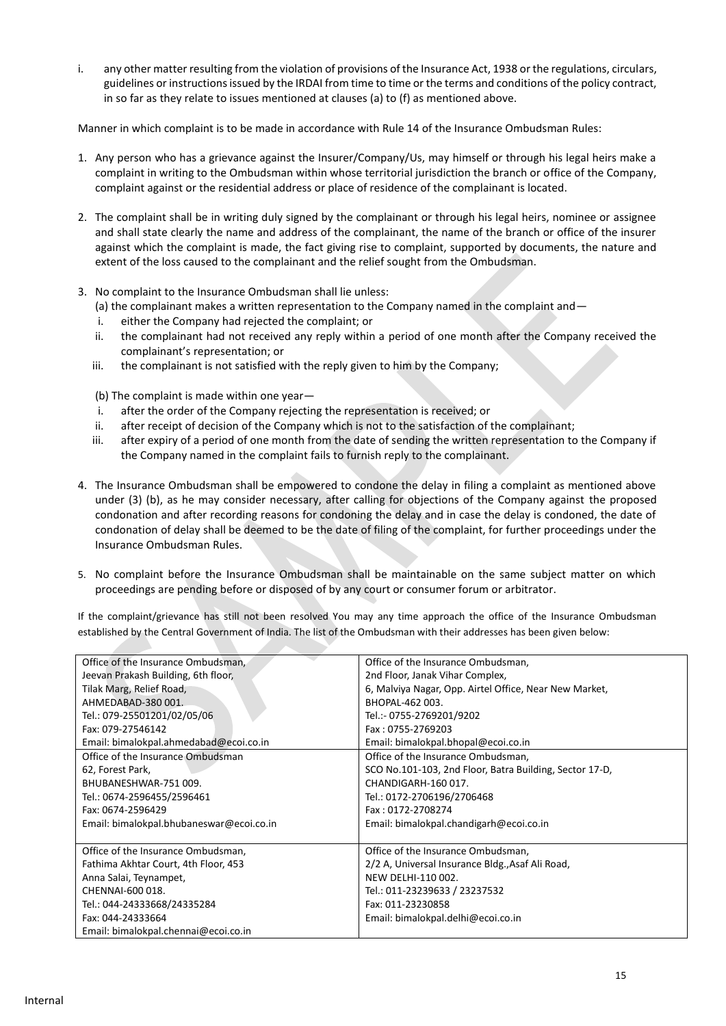i. any other matter resulting from the violation of provisions of the Insurance Act, 1938 or the regulations, circulars, guidelines or instructions issued by the IRDAI from time to time or the terms and conditions of the policy contract, in so far as they relate to issues mentioned at clauses (a) to (f) as mentioned above.

Manner in which complaint is to be made in accordance with Rule 14 of the Insurance Ombudsman Rules:

- 1. Any person who has a grievance against the Insurer/Company/Us, may himself or through his legal heirs make a complaint in writing to the Ombudsman within whose territorial jurisdiction the branch or office of the Company, complaint against or the residential address or place of residence of the complainant is located.
- 2. The complaint shall be in writing duly signed by the complainant or through his legal heirs, nominee or assignee and shall state clearly the name and address of the complainant, the name of the branch or office of the insurer against which the complaint is made, the fact giving rise to complaint, supported by documents, the nature and extent of the loss caused to the complainant and the relief sought from the Ombudsman.
- 3. No complaint to the Insurance Ombudsman shall lie unless:

(a) the complainant makes a written representation to the Company named in the complaint and—

- i. either the Company had rejected the complaint; or
- ii. the complainant had not received any reply within a period of one month after the Company received the complainant's representation; or
- iii. the complainant is not satisfied with the reply given to him by the Company;

(b) The complaint is made within one year—

- i. after the order of the Company rejecting the representation is received; or
- ii. after receipt of decision of the Company which is not to the satisfaction of the complainant;
- iii. after expiry of a period of one month from the date of sending the written representation to the Company if the Company named in the complaint fails to furnish reply to the complainant.
- 4. The Insurance Ombudsman shall be empowered to condone the delay in filing a complaint as mentioned above under (3) (b), as he may consider necessary, after calling for objections of the Company against the proposed condonation and after recording reasons for condoning the delay and in case the delay is condoned, the date of condonation of delay shall be deemed to be the date of filing of the complaint, for further proceedings under the Insurance Ombudsman Rules.
- 5. No complaint before the Insurance Ombudsman shall be maintainable on the same subject matter on which proceedings are pending before or disposed of by any court or consumer forum or arbitrator.

If the complaint/grievance has still not been resolved You may any time approach the office of the Insurance Ombudsman established by the Central Government of India. The list of the Ombudsman with their addresses has been given below:

| Office of the Insurance Ombudsman,       | Office of the Insurance Ombudsman,                      |
|------------------------------------------|---------------------------------------------------------|
| Jeevan Prakash Building, 6th floor,      | 2nd Floor, Janak Vihar Complex,                         |
| Tilak Marg, Relief Road,                 | 6, Malviya Nagar, Opp. Airtel Office, Near New Market,  |
| AHMEDABAD-380 001.                       | BHOPAL-462 003.                                         |
| Tel.: 079-25501201/02/05/06              | Tel.:- 0755-2769201/9202                                |
| Fax: 079-27546142                        | Fax: 0755-2769203                                       |
| Email: bimalokpal.ahmedabad@ecoi.co.in   | Email: bimalokpal.bhopal@ecoi.co.in                     |
| Office of the Insurance Ombudsman        | Office of the Insurance Ombudsman,                      |
| 62, Forest Park,                         | SCO No.101-103, 2nd Floor, Batra Building, Sector 17-D, |
| BHUBANESHWAR-751 009.                    | CHANDIGARH-160 017.                                     |
| Tel.: 0674-2596455/2596461               | Tel.: 0172-2706196/2706468                              |
| Fax: 0674-2596429                        | Fax: 0172-2708274                                       |
| Email: bimalokpal.bhubaneswar@ecoi.co.in | Email: bimalokpal.chandigarh@ecoi.co.in                 |
|                                          |                                                         |
| Office of the Insurance Ombudsman,       | Office of the Insurance Ombudsman,                      |
| Fathima Akhtar Court, 4th Floor, 453     | 2/2 A, Universal Insurance Bldg., Asaf Ali Road,        |
| Anna Salai, Teynampet,                   | NEW DELHI-110 002.                                      |
| CHENNAI-600 018.                         | Tel.: 011-23239633 / 23237532                           |
| Tel.: 044-24333668/24335284              | Fax: 011-23230858                                       |
| Fax: 044-24333664                        | Email: bimalokpal.delhi@ecoi.co.in                      |
| Email: bimalokpal.chennai@ecoi.co.in     |                                                         |